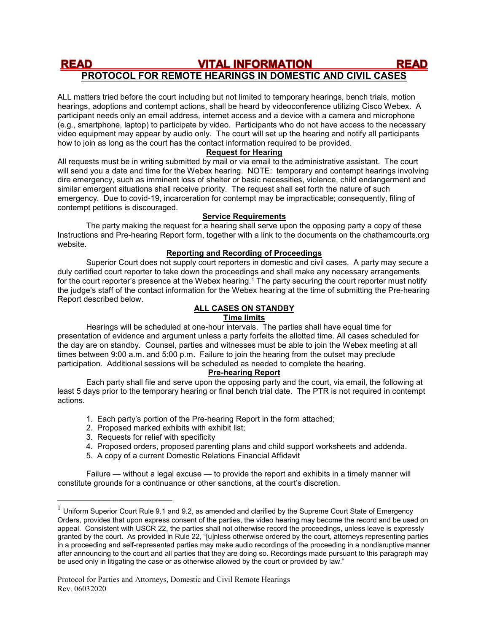#### **READ VITAL INFORMATION READ** PROTOCOL FOR REMOTE HEARINGS IN DOMESTIC AND CIVIL CASES

ALL matters tried before the court including but not limited to temporary hearings, bench trials, motion hearings, adoptions and contempt actions, shall be heard by videoconference utilizing Cisco Webex. A participant needs only an email address, internet access and a device with a camera and microphone (e.g., smartphone, laptop) to participate by video. Participants who do not have access to the necessary video equipment may appear by audio only. The court will set up the hearing and notify all participants how to join as long as the court has the contact information required to be provided.

## Request for Hearing

All requests must be in writing submitted by mail or via email to the administrative assistant. The court will send you a date and time for the Webex hearing. NOTE: temporary and contempt hearings involving dire emergency, such as imminent loss of shelter or basic necessities, violence, child endangerment and similar emergent situations shall receive priority. The request shall set forth the nature of such emergency. Due to covid-19, incarceration for contempt may be impracticable; consequently, filing of contempt petitions is discouraged.

## Service Requirements

The party making the request for a hearing shall serve upon the opposing party a copy of these Instructions and Pre-hearing Report form, together with a link to the documents on the chathamcourts.org website.

## Reporting and Recording of Proceedings

Superior Court does not supply court reporters in domestic and civil cases. A party may secure a duly certified court reporter to take down the proceedings and shall make any necessary arrangements for the court reporter's presence at the Webex hearing.<sup>1</sup> The party securing the court reporter must notify the judge's staff of the contact information for the Webex hearing at the time of submitting the Pre-hearing Report described below.

# ALL CASES ON STANDBY

# Time limits

Hearings will be scheduled at one-hour intervals. The parties shall have equal time for presentation of evidence and argument unless a party forfeits the allotted time. All cases scheduled for the day are on standby. Counsel, parties and witnesses must be able to join the Webex meeting at all times between 9:00 a.m. and 5:00 p.m. Failure to join the hearing from the outset may preclude participation. Additional sessions will be scheduled as needed to complete the hearing.

## Pre-hearing Report

Each party shall file and serve upon the opposing party and the court, via email, the following at least 5 days prior to the temporary hearing or final bench trial date. The PTR is not required in contempt actions.

- 1. Each party's portion of the Pre-hearing Report in the form attached;
- 2. Proposed marked exhibits with exhibit list;
- 3. Requests for relief with specificity

 $\overline{a}$ 

- 4. Proposed orders, proposed parenting plans and child support worksheets and addenda.
- 5. A copy of a current Domestic Relations Financial Affidavit

 Failure — without a legal excuse — to provide the report and exhibits in a timely manner will constitute grounds for a continuance or other sanctions, at the court's discretion.

 $1$  Uniform Superior Court Rule 9.1 and 9.2, as amended and clarified by the Supreme Court State of Emergency Orders, provides that upon express consent of the parties, the video hearing may become the record and be used on appeal. Consistent with USCR 22, the parties shall not otherwise record the proceedings, unless leave is expressly granted by the court. As provided in Rule 22, "[u]nless otherwise ordered by the court, attorneys representing parties in a proceeding and self-represented parties may make audio recordings of the proceeding in a nondisruptive manner after announcing to the court and all parties that they are doing so. Recordings made pursuant to this paragraph may be used only in litigating the case or as otherwise allowed by the court or provided by law."